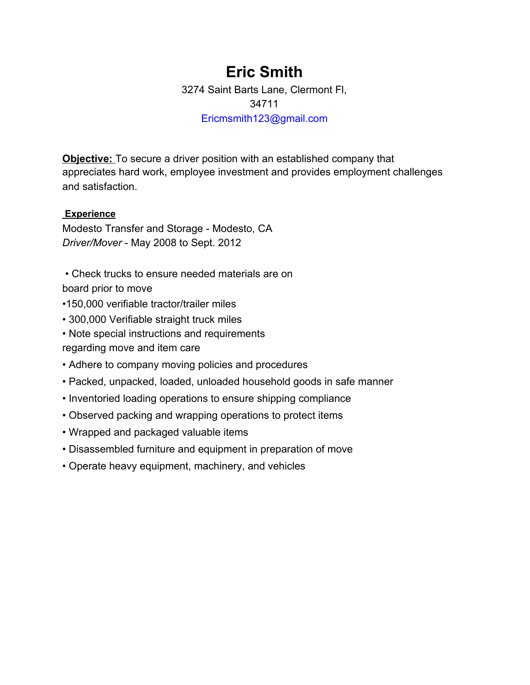# **Eric Smith**

3274 Saint Barts Lane, Clermont Fl, 34711 Ericmsmith123@gmail.com

**Objective:** To secure a driver position with an established company that appreciates hard work, employee investment and provides employment challenges and satisfaction.

## **Experience**

Modesto Transfer and Storage - Modesto, CA *Driver/Mover* - May 2008 to Sept. 2012

 • Check trucks to ensure needed materials are on board prior to move

- •150,000 verifiable tractor/trailer miles
- 300,000 Verifiable straight truck miles
- Note special instructions and requirements regarding move and item care
- Adhere to company moving policies and procedures
- Packed, unpacked, loaded, unloaded household goods in safe manner
- Inventoried loading operations to ensure shipping compliance
- Observed packing and wrapping operations to protect items
- Wrapped and packaged valuable items
- Disassembled furniture and equipment in preparation of move
- Operate heavy equipment, machinery, and vehicles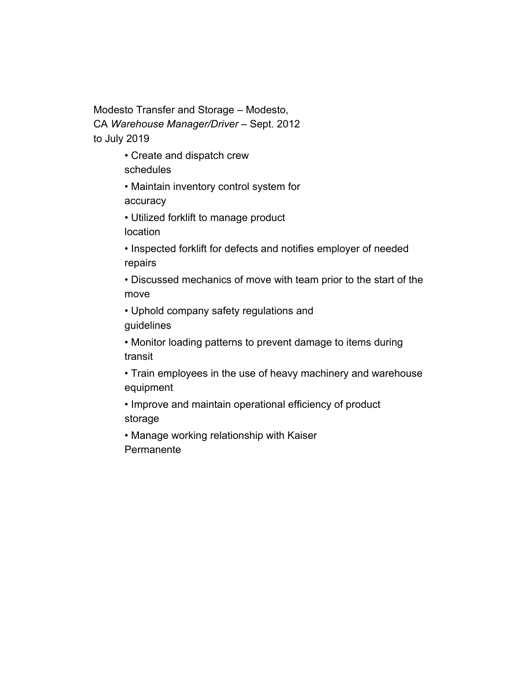Modesto Transfer and Storage – Modesto, CA *Warehouse Manager/Driver* – Sept. 2012 to July 2019

- Create and dispatch crew schedules
- Maintain inventory control system for accuracy
- Utilized forklift to manage product location
- Inspected forklift for defects and notifies employer of needed repairs
- Discussed mechanics of move with team prior to the start of the move
- Uphold company safety regulations and guidelines
- Monitor loading patterns to prevent damage to items during transit
- Train employees in the use of heavy machinery and warehouse equipment
- Improve and maintain operational efficiency of product storage
- Manage working relationship with Kaiser Permanente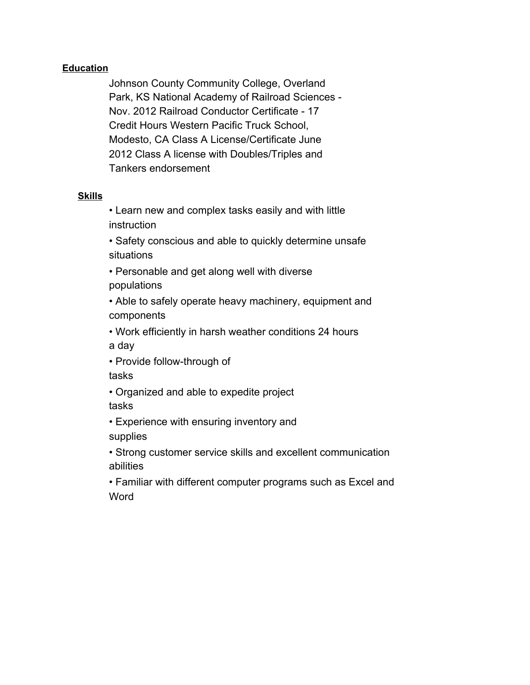### **Education**

Johnson County Community College, Overland Park, KS National Academy of Railroad Sciences - Nov. 2012 Railroad Conductor Certificate - 17 Credit Hours Western Pacific Truck School, Modesto, CA Class A License/Certificate June 2012 Class A license with Doubles/Triples and Tankers endorsement

### **Skills**

• Learn new and complex tasks easily and with little **instruction** 

• Safety conscious and able to quickly determine unsafe situations

• Personable and get along well with diverse populations

• Able to safely operate heavy machinery, equipment and components

• Work efficiently in harsh weather conditions 24 hours a day

• Provide follow-through of

tasks

• Organized and able to expedite project tasks

• Experience with ensuring inventory and supplies

• Strong customer service skills and excellent communication abilities

• Familiar with different computer programs such as Excel and **Word**